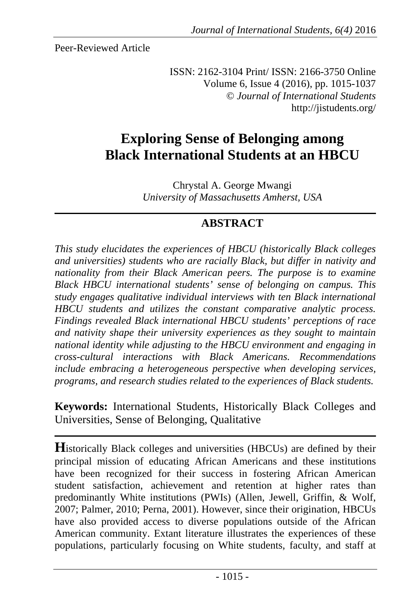Peer-Reviewed Article

ISSN: 2162-3104 Print/ ISSN: 2166-3750 Online Volume 6, Issue 4 (2016), pp. 1015-1037 © *Journal of International Students* http://jistudents.org/

# **Exploring Sense of Belonging among Black International Students at an HBCU**

Chrystal A. George Mwangi *University of Massachusetts Amherst, USA*

# **ABSTRACT**

*This study elucidates the experiences of HBCU (historically Black colleges and universities) students who are racially Black, but differ in nativity and nationality from their Black American peers. The purpose is to examine Black HBCU international students' sense of belonging on campus. This study engages qualitative individual interviews with ten Black international HBCU students and utilizes the constant comparative analytic process. Findings revealed Black international HBCU students' perceptions of race and nativity shape their university experiences as they sought to maintain national identity while adjusting to the HBCU environment and engaging in cross-cultural interactions with Black Americans. Recommendations include embracing a heterogeneous perspective when developing services, programs, and research studies related to the experiences of Black students.* 

**Keywords:** International Students, Historically Black Colleges and Universities, Sense of Belonging, Qualitative

**H**istorically Black colleges and universities (HBCUs) are defined by their principal mission of educating African Americans and these institutions have been recognized for their success in fostering African American student satisfaction, achievement and retention at higher rates than predominantly White institutions (PWIs) (Allen, Jewell, Griffin, & Wolf, 2007; Palmer, 2010; Perna, 2001). However, since their origination, HBCUs have also provided access to diverse populations outside of the African American community. Extant literature illustrates the experiences of these populations, particularly focusing on White students, faculty, and staff at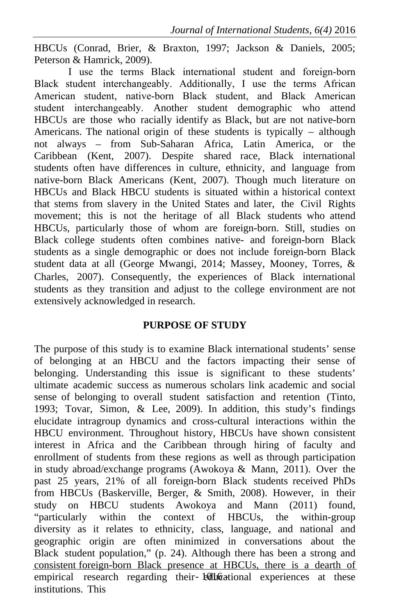HBCUs (Conrad, Brier, & Braxton, 1997; Jackson & Daniels, 2005; Peterson & Hamrick, 2009).

I use the terms Black international student and foreign-born Black student interchangeably. Additionally, I use the terms African American student, native-born Black student, and Black American student interchangeably. Another student demographic who attend HBCUs are those who racially identify as Black, but are not native-born Americans. The national origin of these students is typically – although not always – from Sub-Saharan Africa, Latin America, or the Caribbean (Kent, 2007). Despite shared race, Black international students often have differences in culture, ethnicity, and language from native-born Black Americans (Kent, 2007). Though much literature on HBCUs and Black HBCU students is situated within a historical context that stems from slavery in the United States and later, the Civil Rights movement; this is not the heritage of all Black students who attend HBCUs, particularly those of whom are foreign-born. Still, studies on Black college students often combines native- and foreign-born Black students as a single demographic or does not include foreign-born Black student data at all (George Mwangi, 2014; Massey, Mooney, Torres, & Charles, 2007). Consequently, the experiences of Black international students as they transition and adjust to the college environment are not extensively acknowledged in research.

#### **PURPOSE OF STUDY**

empirical research regarding their- Educational experiences at these The purpose of this study is to examine Black international students' sense of belonging at an HBCU and the factors impacting their sense of belonging. Understanding this issue is significant to these students' ultimate academic success as numerous scholars link academic and social sense of belonging to overall student satisfaction and retention (Tinto, 1993; Tovar, Simon, & Lee, 2009). In addition, this study's findings elucidate intragroup dynamics and cross-cultural interactions within the HBCU environment. Throughout history, HBCUs have shown consistent interest in Africa and the Caribbean through hiring of faculty and enrollment of students from these regions as well as through participation in study abroad/exchange programs (Awokoya & Mann, 2011). Over the past 25 years, 21% of all foreign-born Black students received PhDs from HBCUs (Baskerville, Berger, & Smith, 2008). However, in their study on HBCU students Awokoya and Mann (2011) found, "particularly within the context of HBCUs, the within-group diversity as it relates to ethnicity, class, language, and national and geographic origin are often minimized in conversations about the Black student population," (p. 24). Although there has been a strong and consistent foreign-born Black presence at HBCUs, there is a dearth of institutions. This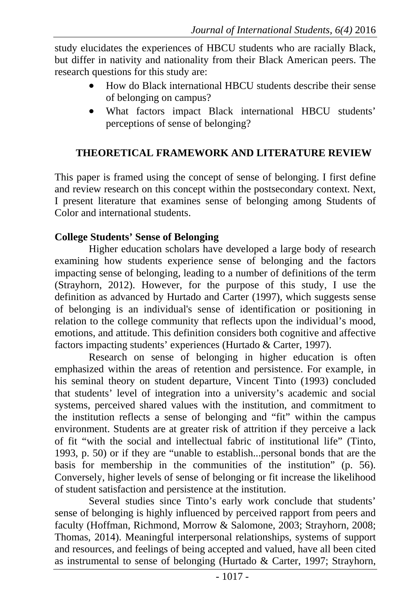study elucidates the experiences of HBCU students who are racially Black, but differ in nativity and nationality from their Black American peers. The research questions for this study are:

- How do Black international HBCU students describe their sense of belonging on campus?
- What factors impact Black international HBCU students' perceptions of sense of belonging?

## **THEORETICAL FRAMEWORK AND LITERATURE REVIEW**

This paper is framed using the concept of sense of belonging. I first define and review research on this concept within the postsecondary context. Next, I present literature that examines sense of belonging among Students of Color and international students.

## **College Students' Sense of Belonging**

Higher education scholars have developed a large body of research examining how students experience sense of belonging and the factors impacting sense of belonging, leading to a number of definitions of the term (Strayhorn, 2012). However, for the purpose of this study, I use the definition as advanced by Hurtado and Carter (1997), which suggests sense of belonging is an individual's sense of identification or positioning in relation to the college community that reflects upon the individual's mood, emotions, and attitude. This definition considers both cognitive and affective factors impacting students' experiences (Hurtado & Carter, 1997).

Research on sense of belonging in higher education is often emphasized within the areas of retention and persistence. For example, in his seminal theory on student departure, Vincent Tinto (1993) concluded that students' level of integration into a university's academic and social systems, perceived shared values with the institution, and commitment to the institution reflects a sense of belonging and "fit" within the campus environment. Students are at greater risk of attrition if they perceive a lack of fit "with the social and intellectual fabric of institutional life" (Tinto, 1993, p. 50) or if they are "unable to establish...personal bonds that are the basis for membership in the communities of the institution" (p. 56). Conversely, higher levels of sense of belonging or fit increase the likelihood of student satisfaction and persistence at the institution.

Several studies since Tinto's early work conclude that students' sense of belonging is highly influenced by perceived rapport from peers and faculty (Hoffman, Richmond, Morrow & Salomone, 2003; Strayhorn, 2008; Thomas, 2014). Meaningful interpersonal relationships, systems of support and resources, and feelings of being accepted and valued, have all been cited as instrumental to sense of belonging (Hurtado & Carter, 1997; Strayhorn,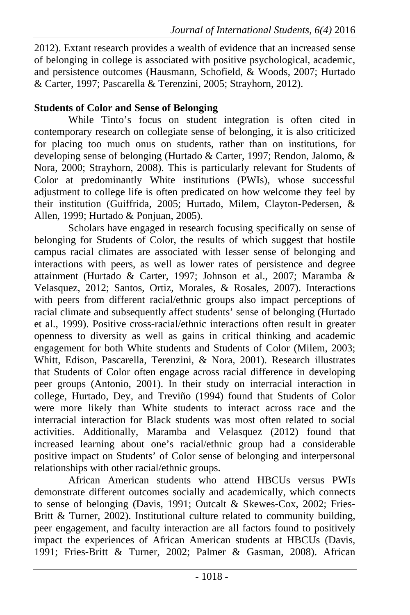2012). Extant research provides a wealth of evidence that an increased sense of belonging in college is associated with positive psychological, academic, and persistence outcomes (Hausmann, Schofield, & Woods, 2007; Hurtado & Carter, 1997; Pascarella & Terenzini, 2005; Strayhorn, 2012).

# **Students of Color and Sense of Belonging**

While Tinto's focus on student integration is often cited in contemporary research on collegiate sense of belonging, it is also criticized for placing too much onus on students, rather than on institutions, for developing sense of belonging (Hurtado & Carter, 1997; Rendon, Jalomo, & Nora, 2000; Strayhorn, 2008). This is particularly relevant for Students of Color at predominantly White institutions (PWIs), whose successful adjustment to college life is often predicated on how welcome they feel by their institution (Guiffrida, 2005; Hurtado, Milem, Clayton-Pedersen, & Allen, 1999; Hurtado & Ponjuan, 2005).

Scholars have engaged in research focusing specifically on sense of belonging for Students of Color, the results of which suggest that hostile campus racial climates are associated with lesser sense of belonging and interactions with peers, as well as lower rates of persistence and degree attainment (Hurtado & Carter, 1997; Johnson et al., 2007; Maramba & Velasquez, 2012; Santos, Ortiz, Morales, & Rosales, 2007). Interactions with peers from different racial/ethnic groups also impact perceptions of racial climate and subsequently affect students' sense of belonging (Hurtado et al., 1999). Positive cross-racial/ethnic interactions often result in greater openness to diversity as well as gains in critical thinking and academic engagement for both White students and Students of Color (Milem, 2003; Whitt, Edison, Pascarella, Terenzini, & Nora, 2001). Research illustrates that Students of Color often engage across racial difference in developing peer groups (Antonio, 2001). In their study on interracial interaction in college, Hurtado, Dey, and Treviño (1994) found that Students of Color were more likely than White students to interact across race and the interracial interaction for Black students was most often related to social activities. Additionally, Maramba and Velasquez (2012) found that increased learning about one's racial/ethnic group had a considerable positive impact on Students' of Color sense of belonging and interpersonal relationships with other racial/ethnic groups.

African American students who attend HBCUs versus PWIs demonstrate different outcomes socially and academically, which connects to sense of belonging (Davis, 1991; Outcalt & Skewes-Cox, 2002; Fries-Britt & Turner, 2002). Institutional culture related to community building, peer engagement, and faculty interaction are all factors found to positively impact the experiences of African American students at HBCUs (Davis, 1991; Fries-Britt & Turner, 2002; Palmer & Gasman, 2008). African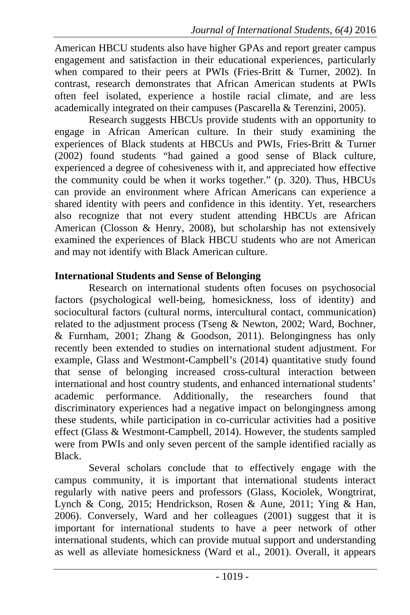American HBCU students also have higher GPAs and report greater campus engagement and satisfaction in their educational experiences, particularly when compared to their peers at PWIs (Fries-Britt & Turner, 2002). In contrast, research demonstrates that African American students at PWIs often feel isolated, experience a hostile racial climate, and are less academically integrated on their campuses (Pascarella & Terenzini, 2005).

Research suggests HBCUs provide students with an opportunity to engage in African American culture. In their study examining the experiences of Black students at HBCUs and PWIs, Fries-Britt & Turner (2002) found students "had gained a good sense of Black culture, experienced a degree of cohesiveness with it, and appreciated how effective the community could be when it works together." (p. 320). Thus, HBCUs can provide an environment where African Americans can experience a shared identity with peers and confidence in this identity. Yet, researchers also recognize that not every student attending HBCUs are African American (Closson & Henry, 2008), but scholarship has not extensively examined the experiences of Black HBCU students who are not American and may not identify with Black American culture.

### **International Students and Sense of Belonging**

Research on international students often focuses on psychosocial factors (psychological well-being, homesickness, loss of identity) and sociocultural factors (cultural norms, intercultural contact, communication) related to the adjustment process (Tseng & Newton, 2002; Ward, Bochner, & Furnham, 2001; Zhang & Goodson, 2011). Belongingness has only recently been extended to studies on international student adjustment. For example, Glass and Westmont-Campbell's (2014) quantitative study found that sense of belonging increased cross-cultural interaction between international and host country students, and enhanced international students' academic performance. Additionally, the researchers found that discriminatory experiences had a negative impact on belongingness among these students, while participation in co-curricular activities had a positive effect (Glass & Westmont-Campbell, 2014). However, the students sampled were from PWIs and only seven percent of the sample identified racially as Black.

Several scholars conclude that to effectively engage with the campus community, it is important that international students interact regularly with native peers and professors (Glass, Kociolek, Wongtrirat, Lynch & Cong, 2015; Hendrickson, Rosen & Aune, 2011; Ying & Han, 2006). Conversely, Ward and her colleagues (2001) suggest that it is important for international students to have a peer network of other international students, which can provide mutual support and understanding as well as alleviate homesickness (Ward et al., 2001). Overall, it appears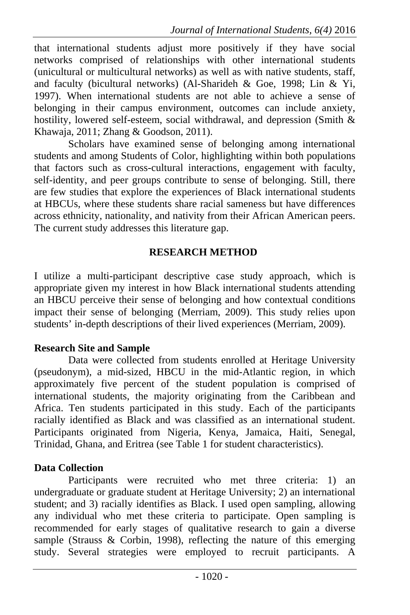that international students adjust more positively if they have social networks comprised of relationships with other international students (unicultural or multicultural networks) as well as with native students, staff, and faculty (bicultural networks) (Al-Sharideh & Goe, 1998; Lin & Yi, 1997). When international students are not able to achieve a sense of belonging in their campus environment, outcomes can include anxiety, hostility, lowered self-esteem, social withdrawal, and depression (Smith & Khawaja, 2011; Zhang & Goodson, 2011).

Scholars have examined sense of belonging among international students and among Students of Color, highlighting within both populations that factors such as cross-cultural interactions, engagement with faculty, self-identity, and peer groups contribute to sense of belonging. Still, there are few studies that explore the experiences of Black international students at HBCUs, where these students share racial sameness but have differences across ethnicity, nationality, and nativity from their African American peers. The current study addresses this literature gap.

## **RESEARCH METHOD**

I utilize a multi-participant descriptive case study approach, which is appropriate given my interest in how Black international students attending an HBCU perceive their sense of belonging and how contextual conditions impact their sense of belonging (Merriam, 2009). This study relies upon students' in-depth descriptions of their lived experiences (Merriam, 2009).

### **Research Site and Sample**

Data were collected from students enrolled at Heritage University (pseudonym), a mid-sized, HBCU in the mid-Atlantic region, in which approximately five percent of the student population is comprised of international students, the majority originating from the Caribbean and Africa. Ten students participated in this study. Each of the participants racially identified as Black and was classified as an international student. Participants originated from Nigeria, Kenya, Jamaica, Haiti, Senegal, Trinidad, Ghana, and Eritrea (see Table 1 for student characteristics).

# **Data Collection**

Participants were recruited who met three criteria: 1) an undergraduate or graduate student at Heritage University; 2) an international student; and 3) racially identifies as Black. I used open sampling, allowing any individual who met these criteria to participate. Open sampling is recommended for early stages of qualitative research to gain a diverse sample (Strauss & Corbin, 1998), reflecting the nature of this emerging study. Several strategies were employed to recruit participants. A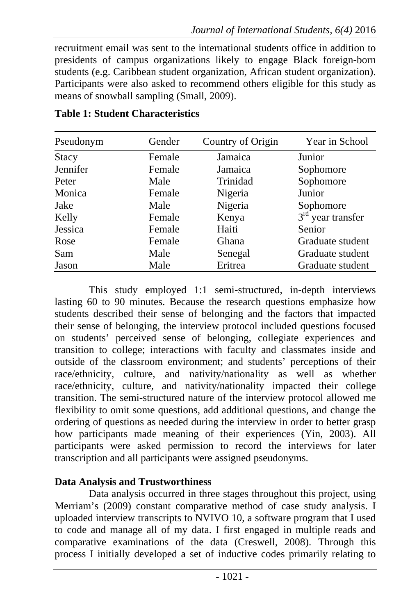recruitment email was sent to the international students office in addition to presidents of campus organizations likely to engage Black foreign-born students (e.g. Caribbean student organization, African student organization). Participants were also asked to recommend others eligible for this study as means of snowball sampling (Small, 2009).

| Pseudonym    | Gender | Country of Origin | Year in School      |
|--------------|--------|-------------------|---------------------|
| <b>Stacy</b> | Female | Jamaica           | Junior              |
| Jennifer     | Female | Jamaica           | Sophomore           |
| Peter        | Male   | Trinidad          | Sophomore           |
| Monica       | Female | Nigeria           | Junior              |
| Jake         | Male   | Nigeria           | Sophomore           |
| Kelly        | Female | Kenya             | $3rd$ year transfer |
| Jessica      | Female | Haiti             | Senior              |
| Rose         | Female | Ghana             | Graduate student    |
| Sam          | Male   | Senegal           | Graduate student    |
| Jason        | Male   | Eritrea           | Graduate student    |

### **Table 1: Student Characteristics**

This study employed 1:1 semi-structured, in-depth interviews lasting 60 to 90 minutes. Because the research questions emphasize how students described their sense of belonging and the factors that impacted their sense of belonging, the interview protocol included questions focused on students' perceived sense of belonging, collegiate experiences and transition to college; interactions with faculty and classmates inside and outside of the classroom environment; and students' perceptions of their race/ethnicity, culture, and nativity/nationality as well as whether race/ethnicity, culture, and nativity/nationality impacted their college transition. The semi-structured nature of the interview protocol allowed me flexibility to omit some questions, add additional questions, and change the ordering of questions as needed during the interview in order to better grasp how participants made meaning of their experiences (Yin, 2003). All participants were asked permission to record the interviews for later transcription and all participants were assigned pseudonyms.

#### **Data Analysis and Trustworthiness**

Data analysis occurred in three stages throughout this project, using Merriam's (2009) constant comparative method of case study analysis. I uploaded interview transcripts to NVIVO 10, a software program that I used to code and manage all of my data. I first engaged in multiple reads and comparative examinations of the data (Creswell, 2008). Through this process I initially developed a set of inductive codes primarily relating to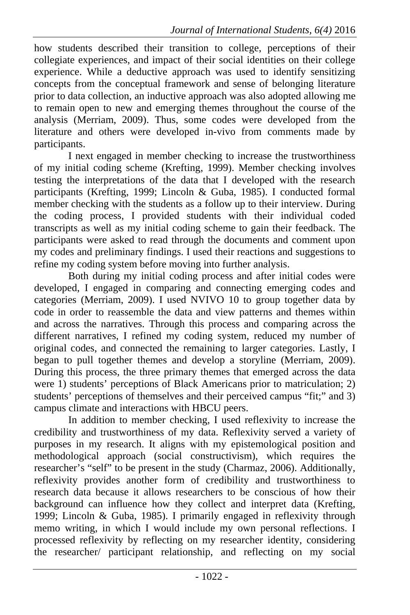how students described their transition to college, perceptions of their collegiate experiences, and impact of their social identities on their college experience. While a deductive approach was used to identify sensitizing concepts from the conceptual framework and sense of belonging literature prior to data collection, an inductive approach was also adopted allowing me to remain open to new and emerging themes throughout the course of the analysis (Merriam, 2009). Thus, some codes were developed from the literature and others were developed in-vivo from comments made by participants.

I next engaged in member checking to increase the trustworthiness of my initial coding scheme (Krefting, 1999). Member checking involves testing the interpretations of the data that I developed with the research participants (Krefting, 1999; Lincoln & Guba, 1985). I conducted formal member checking with the students as a follow up to their interview. During the coding process, I provided students with their individual coded transcripts as well as my initial coding scheme to gain their feedback. The participants were asked to read through the documents and comment upon my codes and preliminary findings. I used their reactions and suggestions to refine my coding system before moving into further analysis.

Both during my initial coding process and after initial codes were developed, I engaged in comparing and connecting emerging codes and categories (Merriam, 2009). I used NVIVO 10 to group together data by code in order to reassemble the data and view patterns and themes within and across the narratives. Through this process and comparing across the different narratives, I refined my coding system, reduced my number of original codes, and connected the remaining to larger categories. Lastly, I began to pull together themes and develop a storyline (Merriam, 2009). During this process, the three primary themes that emerged across the data were 1) students' perceptions of Black Americans prior to matriculation; 2) students' perceptions of themselves and their perceived campus "fit;" and 3) campus climate and interactions with HBCU peers.

In addition to member checking, I used reflexivity to increase the credibility and trustworthiness of my data. Reflexivity served a variety of purposes in my research. It aligns with my epistemological position and methodological approach (social constructivism), which requires the researcher's "self" to be present in the study (Charmaz, 2006). Additionally, reflexivity provides another form of credibility and trustworthiness to research data because it allows researchers to be conscious of how their background can influence how they collect and interpret data (Krefting, 1999; Lincoln & Guba, 1985). I primarily engaged in reflexivity through memo writing, in which I would include my own personal reflections. I processed reflexivity by reflecting on my researcher identity, considering the researcher/ participant relationship, and reflecting on my social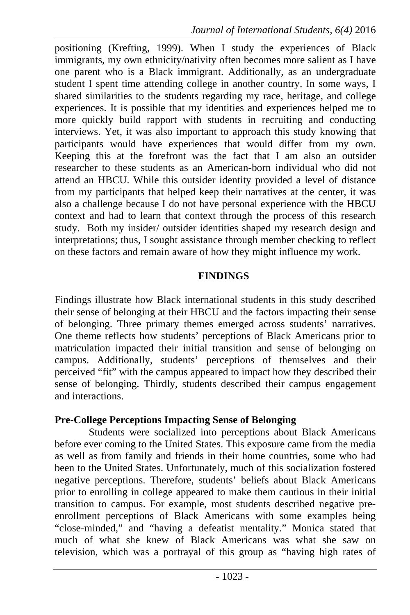positioning (Krefting, 1999). When I study the experiences of Black immigrants, my own ethnicity/nativity often becomes more salient as I have one parent who is a Black immigrant. Additionally, as an undergraduate student I spent time attending college in another country. In some ways, I shared similarities to the students regarding my race, heritage, and college experiences. It is possible that my identities and experiences helped me to more quickly build rapport with students in recruiting and conducting interviews. Yet, it was also important to approach this study knowing that participants would have experiences that would differ from my own. Keeping this at the forefront was the fact that I am also an outsider researcher to these students as an American-born individual who did not attend an HBCU. While this outsider identity provided a level of distance from my participants that helped keep their narratives at the center, it was also a challenge because I do not have personal experience with the HBCU context and had to learn that context through the process of this research study. Both my insider/ outsider identities shaped my research design and interpretations; thus, I sought assistance through member checking to reflect on these factors and remain aware of how they might influence my work.

#### **FINDINGS**

Findings illustrate how Black international students in this study described their sense of belonging at their HBCU and the factors impacting their sense of belonging. Three primary themes emerged across students' narratives. One theme reflects how students' perceptions of Black Americans prior to matriculation impacted their initial transition and sense of belonging on campus. Additionally, students' perceptions of themselves and their perceived "fit" with the campus appeared to impact how they described their sense of belonging. Thirdly, students described their campus engagement and interactions.

#### **Pre-College Perceptions Impacting Sense of Belonging**

Students were socialized into perceptions about Black Americans before ever coming to the United States. This exposure came from the media as well as from family and friends in their home countries, some who had been to the United States. Unfortunately, much of this socialization fostered negative perceptions. Therefore, students' beliefs about Black Americans prior to enrolling in college appeared to make them cautious in their initial transition to campus. For example, most students described negative preenrollment perceptions of Black Americans with some examples being "close-minded," and "having a defeatist mentality." Monica stated that much of what she knew of Black Americans was what she saw on television, which was a portrayal of this group as "having high rates of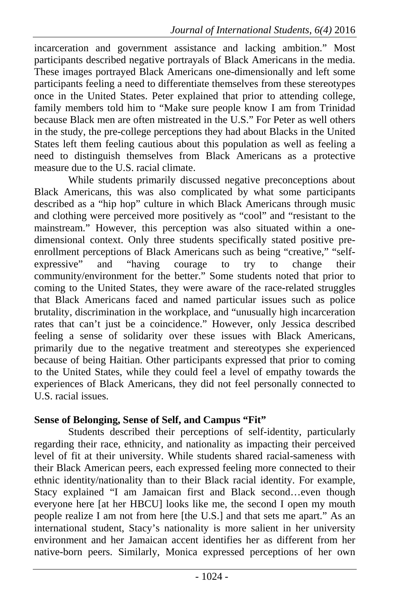incarceration and government assistance and lacking ambition." Most participants described negative portrayals of Black Americans in the media. These images portrayed Black Americans one-dimensionally and left some participants feeling a need to differentiate themselves from these stereotypes once in the United States. Peter explained that prior to attending college, family members told him to "Make sure people know I am from Trinidad because Black men are often mistreated in the U.S." For Peter as well others in the study, the pre-college perceptions they had about Blacks in the United States left them feeling cautious about this population as well as feeling a need to distinguish themselves from Black Americans as a protective measure due to the U.S. racial climate.

While students primarily discussed negative preconceptions about Black Americans, this was also complicated by what some participants described as a "hip hop" culture in which Black Americans through music and clothing were perceived more positively as "cool" and "resistant to the mainstream." However, this perception was also situated within a onedimensional context. Only three students specifically stated positive preenrollment perceptions of Black Americans such as being "creative," "selfexpressive" and "having courage to try to change their community/environment for the better." Some students noted that prior to coming to the United States, they were aware of the race-related struggles that Black Americans faced and named particular issues such as police brutality, discrimination in the workplace, and "unusually high incarceration rates that can't just be a coincidence." However, only Jessica described feeling a sense of solidarity over these issues with Black Americans, primarily due to the negative treatment and stereotypes she experienced because of being Haitian. Other participants expressed that prior to coming to the United States, while they could feel a level of empathy towards the experiences of Black Americans, they did not feel personally connected to U.S. racial issues.

### **Sense of Belonging, Sense of Self, and Campus "Fit"**

Students described their perceptions of self-identity, particularly regarding their race, ethnicity, and nationality as impacting their perceived level of fit at their university. While students shared racial-sameness with their Black American peers, each expressed feeling more connected to their ethnic identity/nationality than to their Black racial identity. For example, Stacy explained "I am Jamaican first and Black second…even though everyone here [at her HBCU] looks like me, the second I open my mouth people realize I am not from here [the U.S.] and that sets me apart." As an international student, Stacy's nationality is more salient in her university environment and her Jamaican accent identifies her as different from her native-born peers. Similarly, Monica expressed perceptions of her own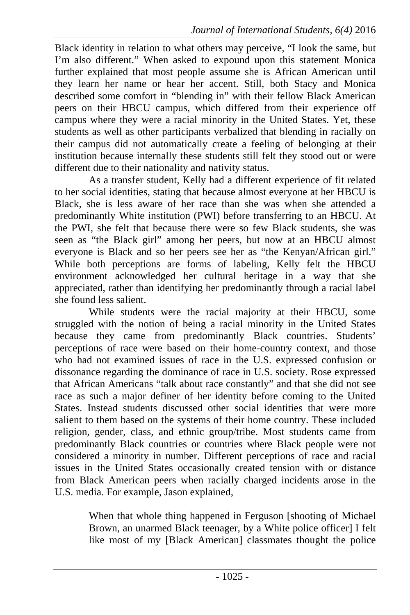Black identity in relation to what others may perceive, "I look the same, but I'm also different." When asked to expound upon this statement Monica further explained that most people assume she is African American until they learn her name or hear her accent. Still, both Stacy and Monica described some comfort in "blending in" with their fellow Black American peers on their HBCU campus, which differed from their experience off campus where they were a racial minority in the United States. Yet, these students as well as other participants verbalized that blending in racially on their campus did not automatically create a feeling of belonging at their institution because internally these students still felt they stood out or were different due to their nationality and nativity status.

As a transfer student, Kelly had a different experience of fit related to her social identities, stating that because almost everyone at her HBCU is Black, she is less aware of her race than she was when she attended a predominantly White institution (PWI) before transferring to an HBCU. At the PWI, she felt that because there were so few Black students, she was seen as "the Black girl" among her peers, but now at an HBCU almost everyone is Black and so her peers see her as "the Kenyan/African girl." While both perceptions are forms of labeling, Kelly felt the HBCU environment acknowledged her cultural heritage in a way that she appreciated, rather than identifying her predominantly through a racial label she found less salient.

While students were the racial majority at their HBCU, some struggled with the notion of being a racial minority in the United States because they came from predominantly Black countries. Students' perceptions of race were based on their home-country context, and those who had not examined issues of race in the U.S. expressed confusion or dissonance regarding the dominance of race in U.S. society. Rose expressed that African Americans "talk about race constantly" and that she did not see race as such a major definer of her identity before coming to the United States. Instead students discussed other social identities that were more salient to them based on the systems of their home country. These included religion, gender, class, and ethnic group/tribe. Most students came from predominantly Black countries or countries where Black people were not considered a minority in number. Different perceptions of race and racial issues in the United States occasionally created tension with or distance from Black American peers when racially charged incidents arose in the U.S. media. For example, Jason explained,

> When that whole thing happened in Ferguson [shooting of Michael Brown, an unarmed Black teenager, by a White police officer] I felt like most of my [Black American] classmates thought the police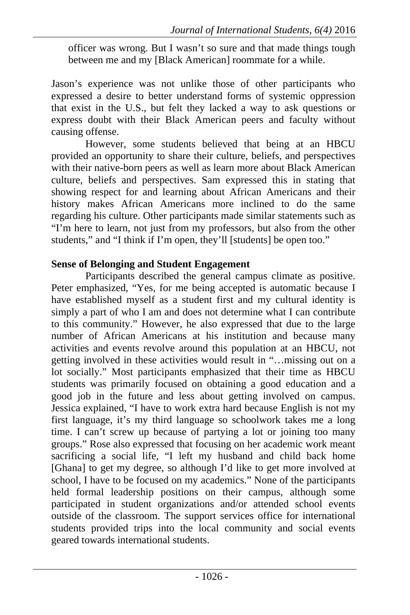officer was wrong. But I wasn't so sure and that made things tough between me and my [Black American] roommate for a while.

Jason's experience was not unlike those of other participants who expressed a desire to better understand forms of systemic oppression that exist in the U.S., but felt they lacked a way to ask questions or express doubt with their Black American peers and faculty without causing offense.

However, some students believed that being at an HBCU provided an opportunity to share their culture, beliefs, and perspectives with their native-born peers as well as learn more about Black American culture, beliefs and perspectives. Sam expressed this in stating that showing respect for and learning about African Americans and their history makes African Americans more inclined to do the same regarding his culture. Other participants made similar statements such as "I'm here to learn, not just from my professors, but also from the other students," and "I think if I'm open, they'll [students] be open too."

# **Sense of Belonging and Student Engagement**

Participants described the general campus climate as positive. Peter emphasized, "Yes, for me being accepted is automatic because I have established myself as a student first and my cultural identity is simply a part of who I am and does not determine what I can contribute to this community." However, he also expressed that due to the large number of African Americans at his institution and because many activities and events revolve around this population at an HBCU, not getting involved in these activities would result in "…missing out on a lot socially." Most participants emphasized that their time as HBCU students was primarily focused on obtaining a good education and a good job in the future and less about getting involved on campus. Jessica explained, "I have to work extra hard because English is not my first language, it's my third language so schoolwork takes me a long time. I can't screw up because of partying a lot or joining too many groups." Rose also expressed that focusing on her academic work meant sacrificing a social life, "I left my husband and child back home [Ghana] to get my degree, so although I'd like to get more involved at school, I have to be focused on my academics." None of the participants held formal leadership positions on their campus, although some participated in student organizations and/or attended school events outside of the classroom. The support services office for international students provided trips into the local community and social events geared towards international students.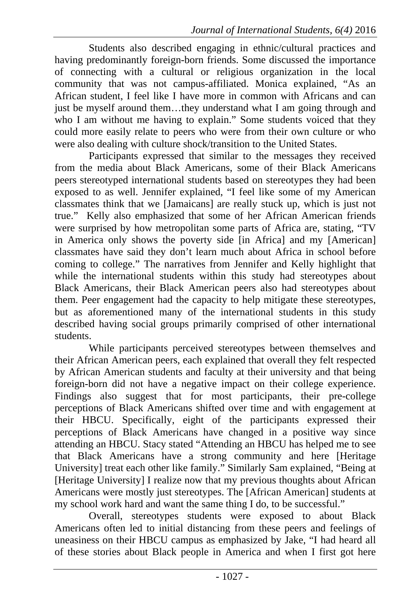Students also described engaging in ethnic/cultural practices and having predominantly foreign-born friends. Some discussed the importance of connecting with a cultural or religious organization in the local community that was not campus-affiliated. Monica explained, "As an African student, I feel like I have more in common with Africans and can just be myself around them...they understand what I am going through and who I am without me having to explain." Some students voiced that they could more easily relate to peers who were from their own culture or who were also dealing with culture shock/transition to the United States.

Participants expressed that similar to the messages they received from the media about Black Americans, some of their Black Americans peers stereotyped international students based on stereotypes they had been exposed to as well. Jennifer explained, "I feel like some of my American classmates think that we [Jamaicans] are really stuck up, which is just not true." Kelly also emphasized that some of her African American friends were surprised by how metropolitan some parts of Africa are, stating, "TV in America only shows the poverty side [in Africa] and my [American] classmates have said they don't learn much about Africa in school before coming to college." The narratives from Jennifer and Kelly highlight that while the international students within this study had stereotypes about Black Americans, their Black American peers also had stereotypes about them. Peer engagement had the capacity to help mitigate these stereotypes, but as aforementioned many of the international students in this study described having social groups primarily comprised of other international students.

While participants perceived stereotypes between themselves and their African American peers, each explained that overall they felt respected by African American students and faculty at their university and that being foreign-born did not have a negative impact on their college experience. Findings also suggest that for most participants, their pre-college perceptions of Black Americans shifted over time and with engagement at their HBCU. Specifically, eight of the participants expressed their perceptions of Black Americans have changed in a positive way since attending an HBCU. Stacy stated "Attending an HBCU has helped me to see that Black Americans have a strong community and here [Heritage University] treat each other like family." Similarly Sam explained, "Being at [Heritage University] I realize now that my previous thoughts about African Americans were mostly just stereotypes. The [African American] students at my school work hard and want the same thing I do, to be successful."

Overall, stereotypes students were exposed to about Black Americans often led to initial distancing from these peers and feelings of uneasiness on their HBCU campus as emphasized by Jake, "I had heard all of these stories about Black people in America and when I first got here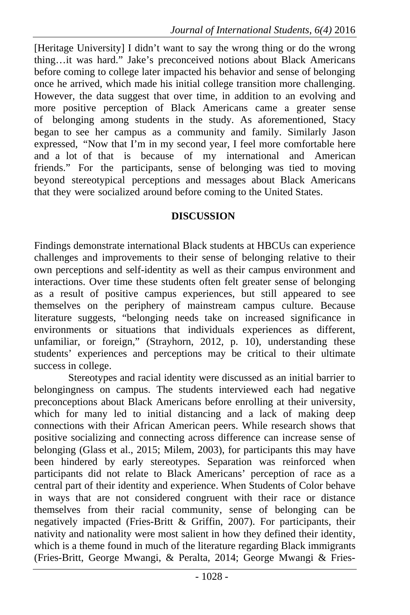[Heritage University] I didn't want to say the wrong thing or do the wrong thing…it was hard." Jake's preconceived notions about Black Americans before coming to college later impacted his behavior and sense of belonging once he arrived, which made his initial college transition more challenging. However, the data suggest that over time, in addition to an evolving and more positive perception of Black Americans came a greater sense of belonging among students in the study. As aforementioned, Stacy began to see her campus as a community and family. Similarly Jason expressed, "Now that I'm in my second year, I feel more comfortable here and a lot of that is because of my international and American friends." For the participants, sense of belonging was tied to moving beyond stereotypical perceptions and messages about Black Americans that they were socialized around before coming to the United States.

## **DISCUSSION**

Findings demonstrate international Black students at HBCUs can experience challenges and improvements to their sense of belonging relative to their own perceptions and self-identity as well as their campus environment and interactions. Over time these students often felt greater sense of belonging as a result of positive campus experiences, but still appeared to see themselves on the periphery of mainstream campus culture. Because literature suggests, "belonging needs take on increased significance in environments or situations that individuals experiences as different, unfamiliar, or foreign," (Strayhorn, 2012, p. 10), understanding these students' experiences and perceptions may be critical to their ultimate success in college.

Stereotypes and racial identity were discussed as an initial barrier to belongingness on campus. The students interviewed each had negative preconceptions about Black Americans before enrolling at their university, which for many led to initial distancing and a lack of making deep connections with their African American peers. While research shows that positive socializing and connecting across difference can increase sense of belonging (Glass et al., 2015; Milem, 2003), for participants this may have been hindered by early stereotypes. Separation was reinforced when participants did not relate to Black Americans' perception of race as a central part of their identity and experience. When Students of Color behave in ways that are not considered congruent with their race or distance themselves from their racial community, sense of belonging can be negatively impacted (Fries-Britt & Griffin, 2007). For participants, their nativity and nationality were most salient in how they defined their identity, which is a theme found in much of the literature regarding Black immigrants (Fries-Britt, George Mwangi, & Peralta, 2014; George Mwangi & Fries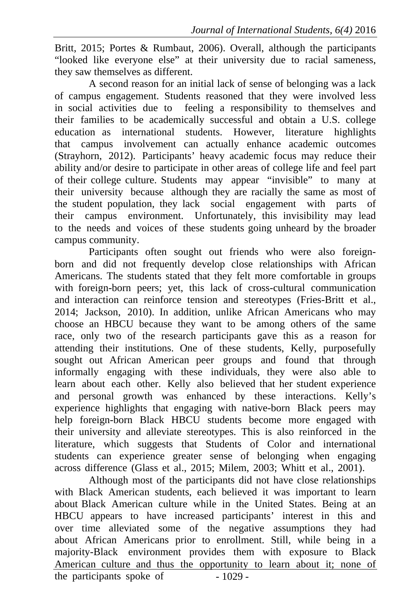Britt, 2015; Portes & Rumbaut, 2006). Overall, although the participants "looked like everyone else" at their university due to racial sameness, they saw themselves as different.

A second reason for an initial lack of sense of belonging was a lack of campus engagement. Students reasoned that they were involved less in social activities due to feeling a responsibility to themselves and their families to be academically successful and obtain a U.S. college education as international students. However, literature highlights that campus involvement can actually enhance academic outcomes (Strayhorn, 2012). Participants' heavy academic focus may reduce their ability and/or desire to participate in other areas of college life and feel part of their college culture. Students may appear "invisible" to many at their university because although they are racially the same as most of the student population, they lack social engagement with parts of their campus environment. Unfortunately, this invisibility may lead to the needs and voices of these students going unheard by the broader campus community.

Participants often sought out friends who were also foreignborn and did not frequently develop close relationships with African Americans. The students stated that they felt more comfortable in groups with foreign-born peers; yet, this lack of cross-cultural communication and interaction can reinforce tension and stereotypes (Fries-Britt et al., 2014; Jackson, 2010). In addition, unlike African Americans who may choose an HBCU because they want to be among others of the same race, only two of the research participants gave this as a reason for attending their institutions. One of these students, Kelly, purposefully sought out African American peer groups and found that through informally engaging with these individuals, they were also able to learn about each other. Kelly also believed that her student experience and personal growth was enhanced by these interactions. Kelly's experience highlights that engaging with native-born Black peers may help foreign-born Black HBCU students become more engaged with their university and alleviate stereotypes. This is also reinforced in the literature, which suggests that Students of Color and international students can experience greater sense of belonging when engaging across difference (Glass et al., 2015; Milem, 2003; Whitt et al., 2001).

the participants spoke of  $-1029$ Although most of the participants did not have close relationships with Black American students, each believed it was important to learn about Black American culture while in the United States. Being at an HBCU appears to have increased participants' interest in this and over time alleviated some of the negative assumptions they had about African Americans prior to enrollment. Still, while being in a majority-Black environment provides them with exposure to Black American culture and thus the opportunity to learn about it; none of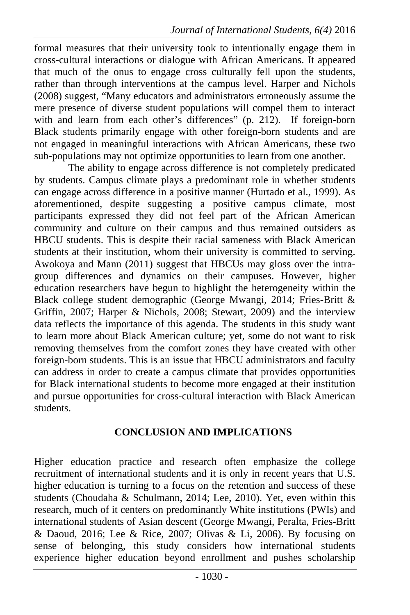formal measures that their university took to intentionally engage them in cross-cultural interactions or dialogue with African Americans. It appeared that much of the onus to engage cross culturally fell upon the students, rather than through interventions at the campus level. Harper and Nichols (2008) suggest, "Many educators and administrators erroneously assume the mere presence of diverse student populations will compel them to interact with and learn from each other's differences" (p. 212). If foreign-born Black students primarily engage with other foreign-born students and are not engaged in meaningful interactions with African Americans, these two sub-populations may not optimize opportunities to learn from one another.

The ability to engage across difference is not completely predicated by students. Campus climate plays a predominant role in whether students can engage across difference in a positive manner (Hurtado et al., 1999). As aforementioned, despite suggesting a positive campus climate, most participants expressed they did not feel part of the African American community and culture on their campus and thus remained outsiders as HBCU students. This is despite their racial sameness with Black American students at their institution, whom their university is committed to serving. Awokoya and Mann (2011) suggest that HBCUs may gloss over the intragroup differences and dynamics on their campuses. However, higher education researchers have begun to highlight the heterogeneity within the Black college student demographic (George Mwangi, 2014; Fries-Britt & Griffin, 2007; Harper & Nichols, 2008; Stewart, 2009) and the interview data reflects the importance of this agenda. The students in this study want to learn more about Black American culture; yet, some do not want to risk removing themselves from the comfort zones they have created with other foreign-born students. This is an issue that HBCU administrators and faculty can address in order to create a campus climate that provides opportunities for Black international students to become more engaged at their institution and pursue opportunities for cross-cultural interaction with Black American students.

## **CONCLUSION AND IMPLICATIONS**

Higher education practice and research often emphasize the college recruitment of international students and it is only in recent years that U.S. higher education is turning to a focus on the retention and success of these students (Choudaha & Schulmann, 2014; Lee, 2010). Yet, even within this research, much of it centers on predominantly White institutions (PWIs) and international students of Asian descent (George Mwangi, Peralta, Fries-Britt  $& Daoud, 2016$ ; Lee  $& Rice, 2007$ ; Olivas  $& Li, 2006$ ). By focusing on sense of belonging, this study considers how international students experience higher education beyond enrollment and pushes scholarship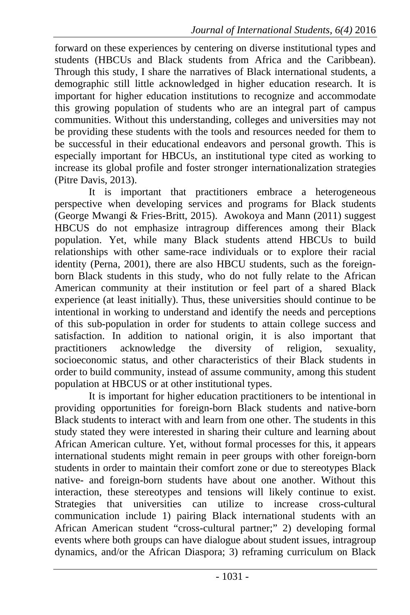forward on these experiences by centering on diverse institutional types and students (HBCUs and Black students from Africa and the Caribbean). Through this study, I share the narratives of Black international students, a demographic still little acknowledged in higher education research. It is important for higher education institutions to recognize and accommodate this growing population of students who are an integral part of campus communities. Without this understanding, colleges and universities may not be providing these students with the tools and resources needed for them to be successful in their educational endeavors and personal growth. This is especially important for HBCUs, an institutional type cited as working to increase its global profile and foster stronger internationalization strategies (Pitre Davis, 2013).

It is important that practitioners embrace a heterogeneous perspective when developing services and programs for Black students (George Mwangi & Fries-Britt, 2015). Awokoya and Mann (2011) suggest HBCUS do not emphasize intragroup differences among their Black population. Yet, while many Black students attend HBCUs to build relationships with other same-race individuals or to explore their racial identity (Perna, 2001), there are also HBCU students, such as the foreignborn Black students in this study, who do not fully relate to the African American community at their institution or feel part of a shared Black experience (at least initially). Thus, these universities should continue to be intentional in working to understand and identify the needs and perceptions of this sub-population in order for students to attain college success and satisfaction. In addition to national origin, it is also important that practitioners acknowledge the diversity of religion, sexuality, socioeconomic status, and other characteristics of their Black students in order to build community, instead of assume community, among this student population at HBCUS or at other institutional types.

It is important for higher education practitioners to be intentional in providing opportunities for foreign-born Black students and native-born Black students to interact with and learn from one other. The students in this study stated they were interested in sharing their culture and learning about African American culture. Yet, without formal processes for this, it appears international students might remain in peer groups with other foreign-born students in order to maintain their comfort zone or due to stereotypes Black native- and foreign-born students have about one another. Without this interaction, these stereotypes and tensions will likely continue to exist. Strategies that universities can utilize to increase cross-cultural communication include 1) pairing Black international students with an African American student "cross-cultural partner;" 2) developing formal events where both groups can have dialogue about student issues, intragroup dynamics, and/or the African Diaspora; 3) reframing curriculum on Black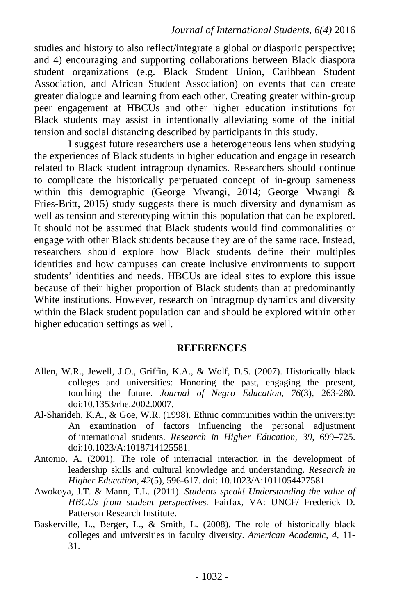studies and history to also reflect/integrate a global or diasporic perspective; and 4) encouraging and supporting collaborations between Black diaspora student organizations (e.g. Black Student Union, Caribbean Student Association, and African Student Association) on events that can create greater dialogue and learning from each other. Creating greater within-group peer engagement at HBCUs and other higher education institutions for Black students may assist in intentionally alleviating some of the initial tension and social distancing described by participants in this study.

I suggest future researchers use a heterogeneous lens when studying the experiences of Black students in higher education and engage in research related to Black student intragroup dynamics. Researchers should continue to complicate the historically perpetuated concept of in-group sameness within this demographic (George Mwangi, 2014; George Mwangi & Fries-Britt, 2015) study suggests there is much diversity and dynamism as well as tension and stereotyping within this population that can be explored. It should not be assumed that Black students would find commonalities or engage with other Black students because they are of the same race. Instead, researchers should explore how Black students define their multiples identities and how campuses can create inclusive environments to support students' identities and needs. HBCUs are ideal sites to explore this issue because of their higher proportion of Black students than at predominantly White institutions. However, research on intragroup dynamics and diversity within the Black student population can and should be explored within other higher education settings as well.

### **REFERENCES**

- Allen, W.R., Jewell, J.O., Griffin, K.A., & Wolf, D.S. (2007). Historically black colleges and universities: Honoring the past, engaging the present, touching the future. *Journal of Negro Education, 76*(3), 263-280. doi:10.1353/rhe.2002.0007.
- Al-Sharideh, K.A., & Goe, W.R. (1998). Ethnic communities within the university: An examination of factors influencing the personal adjustment of international students. *Research in Higher Education, 39*, 699–725. doi:10.1023/A:1018714125581.
- Antonio, A. (2001). The role of interracial interaction in the development of leadership skills and cultural knowledge and understanding. *Research in Higher Education, 42*(5), 596-617. doi: 10.1023/A:1011054427581
- Awokoya, J.T. & Mann, T.L. (2011). *Students speak! Understanding the value of HBCUs from student perspectives.* Fairfax, VA: UNCF/ Frederick D. Patterson Research Institute.
- Baskerville, L., Berger, L., & Smith, L. (2008). The role of historically black colleges and universities in faculty diversity. *American Academic, 4,* 11- 31.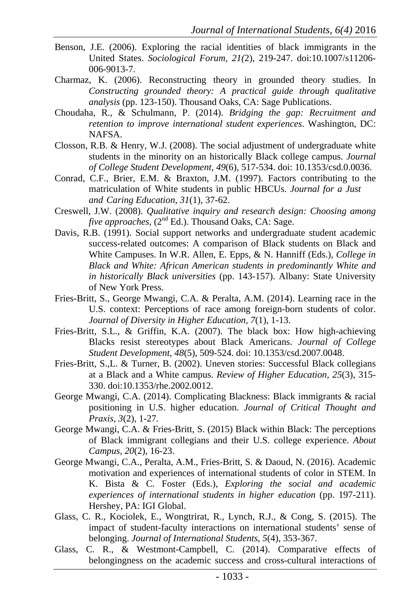- Benson, J.E. (2006). Exploring the racial identities of black immigrants in the United States. *Sociological Forum, 21(*2), 219-247. doi:10.1007/s11206- 006-9013-7.
- Charmaz, K. (2006). Reconstructing theory in grounded theory studies. In *Constructing grounded theory: A practical guide through qualitative analysis* (pp. 123-150). Thousand Oaks, CA: Sage Publications.
- Choudaha, R., & Schulmann, P. (2014). *Bridging the gap: Recruitment and retention to improve international student experiences*. Washington, DC: NAFSA.
- Closson, R.B. & Henry, W.J. (2008). The social adjustment of undergraduate white students in the minority on an historically Black college campus. *Journal of College Student Development, 49*(6), 517-534. doi: 10.1353/csd.0.0036.
- Conrad, C.F., Brier, E.M. & Braxton, J.M. (1997). Factors contributing to the matriculation of White students in public HBCUs. *Journal for a Just and Caring Education, 31*(1), 37-62.
- Creswell, J.W. (2008). *Qualitative inquiry and research design: Choosing among five approaches,* (2<sup>nd</sup> Ed.). Thousand Oaks, CA: Sage.
- Davis, R.B. (1991). Social support networks and undergraduate student academic success-related outcomes: A comparison of Black students on Black and White Campuses. In W.R. Allen, E. Epps, & N. Hanniff (Eds.), *College in Black and White: African American students in predominantly White and in historically Black universities* (pp. 143-157). Albany: State University of New York Press.
- Fries-Britt, S., George Mwangi, C.A. & Peralta, A.M. (2014). Learning race in the U.S. context: Perceptions of race among foreign-born students of color. *Journal of Diversity in Higher Education, 7*(1), 1-13.
- Fries-Britt, S.L., & Griffin, K.A. (2007). The black box: How high-achieving Blacks resist stereotypes about Black Americans. *Journal of College Student Development, 48*(5), 509-524. doi: 10.1353/csd.2007.0048.
- Fries-Britt, S.,L. & Turner, B. (2002). Uneven stories: Successful Black collegians at a Black and a White campus. *Review of Higher Education, 25*(3), 315- 330. doi:10.1353/rhe.2002.0012.
- George Mwangi, C.A. (2014). Complicating Blackness: Black immigrants & racial positioning in U.S. higher education. *Journal of Critical Thought and Praxis, 3*(2), 1-27*.*
- George Mwangi, C.A. & Fries-Britt, S. (2015) Black within Black: The perceptions of Black immigrant collegians and their U.S. college experience. *About Campus, 20*(2), 16-23.
- George Mwangi, C.A., Peralta, A.M., Fries-Britt, S. & Daoud, N. (2016). Academic motivation and experiences of international students of color in STEM. In K. Bista & C. Foster (Eds.), *Exploring the social and academic experiences of international students in higher education* (pp. 197-211). Hershey, PA: IGI Global.
- Glass, C. R., Kociolek, E., Wongtrirat, R., Lynch, R.J., & Cong, S. (2015). The impact of student-faculty interactions on international students' sense of belonging. *Journal of International Students, 5*(4), 353-367.
- Glass, C. R., & Westmont-Campbell, C. (2014). Comparative effects of belongingness on the academic success and cross-cultural interactions of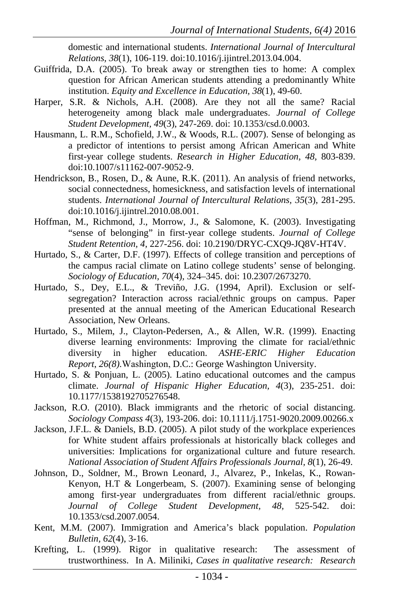domestic and international students. *International Journal of Intercultural Relations, 38*(1), 106-119. doi:10.1016/j.ijintrel.2013.04.004.

- Guiffrida, D.A. (2005). To break away or strengthen ties to home: A complex question for African American students attending a predominantly White institution. *Equity and Excellence in Education, 38*(1), 49-60.
- Harper, S.R. & Nichols, A.H. (2008). Are they not all the same? Racial heterogeneity among black male undergraduates. *Journal of College Student Development, 49*(3), 247-269. doi: 10.1353/csd.0.0003.
- Hausmann, L. R.M., Schofield, J.W., & Woods, R.L. (2007). Sense of belonging as a predictor of intentions to persist among African American and White first-year college students. *Research in Higher Education, 48,* 803-839. doi:10.1007/s11162-007-9052-9.
- Hendrickson, B., Rosen, D., & Aune, R.K. (2011). An analysis of friend networks, social connectedness, homesickness, and satisfaction levels of international students. *International Journal of Intercultural Relations, 35*(3), 281-295. doi:10.1016/j.ijintrel.2010.08.001.
- Hoffman, M., Richmond, J., Morrow, J., & Salomone, K. (2003). Investigating "sense of belonging" in first-year college students. *Journal of College Student Retention, 4,* 227-256. doi: 10.2190/DRYC-CXQ9-JQ8V-HT4V.
- Hurtado, S., & Carter, D.F. (1997). Effects of college transition and perceptions of the campus racial climate on Latino college students' sense of belonging. *Sociology of Education, 70*(4)*,* 324–345. doi: 10.2307/2673270.
- Hurtado, S., Dey, E.L., & Treviño, J.G. (1994, April). Exclusion or selfsegregation? Interaction across racial/ethnic groups on campus. Paper presented at the annual meeting of the American Educational Research Association, New Orleans.
- Hurtado, S., Milem, J., Clayton-Pedersen, A., & Allen, W.R. (1999). Enacting diverse learning environments: Improving the climate for racial/ethnic diversity in higher education. *ASHE-ERIC Higher Education Report*, *26(8).*Washington, D.C.: George Washington University.
- Hurtado, S. & Ponjuan, L. (2005). Latino educational outcomes and the campus climate. *Journal of Hispanic Higher Education, 4*(3), 235-251. doi: 10.1177/1538192705276548.
- Jackson, R.O. (2010). Black immigrants and the rhetoric of social distancing. *Sociology Compass 4*(3), 193-206. doi: 10.1111/j.1751-9020.2009.00266.x
- Jackson, J.F.L. & Daniels, B.D. (2005). A pilot study of the workplace experiences for White student affairs professionals at historically black colleges and universities: Implications for organizational culture and future research. *National Association of Student Affairs Professionals Journal, 8*(1), 26-49.
- Johnson, D., Soldner, M., Brown Leonard, J., Alvarez, P., Inkelas, K., Rowan-Kenyon, H.T & Longerbeam, S. (2007). Examining sense of belonging among first-year undergraduates from different racial/ethnic groups. *Journal of College Student Development, 48,* 525-542. doi: 10.1353/csd.2007.0054.
- Kent, M.M. (2007). Immigration and America's black population. *Population Bulletin, 62*(4), 3-16.
- Krefting, L. (1999). Rigor in qualitative research: The assessment of trustworthiness. In A. Miliniki, *Cases in qualitative research: Research*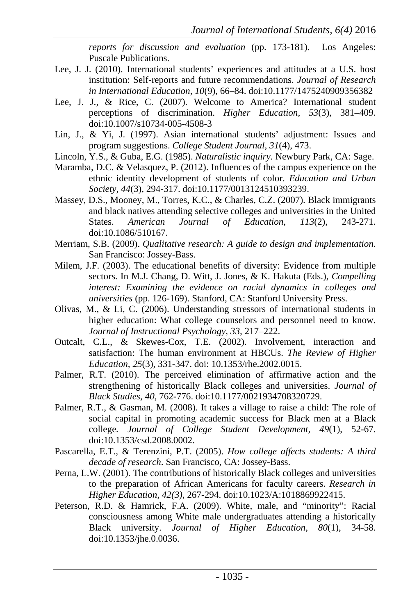*reports for discussion and evaluation* (pp. 173-181). Los Angeles: Puscale Publications.

- Lee, J. J. (2010). International students' experiences and attitudes at a U.S. host institution: Self-reports and future recommendations. *Journal of Research in International Education, 10*(9), 66–84. doi:10.1177/1475240909356382
- Lee, J. J., & Rice, C. (2007). Welcome to America? International student perceptions of discrimination. *Higher Education, 53*(3), 381–409. doi:10.1007/s10734-005-4508-3
- Lin, J., & Yi, J. (1997). Asian international students' adjustment: Issues and program suggestions. *College Student Journal, 31*(4), 473.
- Lincoln, Y.S., & Guba, E.G. (1985). *Naturalistic inquiry.* Newbury Park, CA: Sage.
- Maramba, D.C. & Velasquez, P. (2012). Influences of the campus experience on the ethnic identity development of students of color. *Education and Urban Society, 44*(3), 294-317. doi:10.1177/0013124510393239.
- Massey, D.S., Mooney, M., Torres, K.C., & Charles, C.Z. (2007). Black immigrants and black natives attending selective colleges and universities in the United States. *American Journal of Education, 113*(2), 243-271. doi:10.1086/510167.
- Merriam, S.B. (2009). *Qualitative research: A guide to design and implementation.*  San Francisco: Jossey-Bass.
- Milem, J.F. (2003). The educational benefits of diversity: Evidence from multiple sectors. In M.J. Chang, D. Witt, J. Jones, & K. Hakuta (Eds.), *Compelling interest: Examining the evidence on racial dynamics in colleges and universities* (pp. 126-169). Stanford, CA: Stanford University Press.
- Olivas, M., & Li, C. (2006). Understanding stressors of international students in higher education: What college counselors and personnel need to know. *Journal of Instructional Psychology, 33,* 217–222.
- Outcalt, C.L., & Skewes-Cox, T.E. (2002). Involvement, interaction and satisfaction: The human environment at HBCUs. *The Review of Higher Education, 25*(3), 331-347. doi: 10.1353/rhe.2002.0015.
- Palmer, R.T. (2010). The perceived elimination of affirmative action and the strengthening of historically Black colleges and universities. *Journal of Black Studies, 40*, 762-776. doi:10.1177/0021934708320729.
- Palmer, R.T., & Gasman, M. (2008). It takes a village to raise a child: The role of social capital in promoting academic success for Black men at a Black college*. Journal of College Student Development, 49*(1), 52-67. doi:10.1353/csd.2008.0002.
- Pascarella, E.T., & Terenzini, P.T. (2005). *How college affects students: A third decade of research*. San Francisco, CA: Jossey-Bass.
- Perna, L.W. (2001). The contributions of historically Black colleges and universities to the preparation of African Americans for faculty careers. *Research in Higher Education, 42(3)*, 267-294. doi:10.1023/A:1018869922415.
- Peterson, R.D. & Hamrick, F.A. (2009). White, male, and "minority": Racial consciousness among White male undergraduates attending a historically Black university. *Journal of Higher Education, 80*(1), 34-58. doi:10.1353/jhe.0.0036.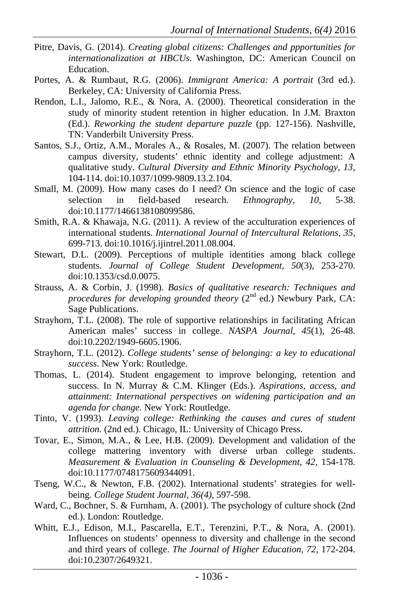- Pitre, Davis, G. (2014). *Creating global citizens: Challenges and ppportunities for internationalization at HBCUs*. Washington, DC: American Council on Education.
- Portes, A. & Rumbaut, R.G. (2006). *Immigrant America: A portrait* (3rd ed.). Berkeley, CA: University of California Press.
- Rendon, L.I., Jalomo, R.E., & Nora, A. (2000). Theoretical consideration in the study of minority student retention in higher education. In J.M. Braxton (Ed.). *Reworking the student departure puzzle* (pp. 127-156). Nashville, TN: Vanderbilt University Press.
- Santos, S.J., Ortiz, A.M., Morales A., & Rosales, M. (2007). The relation between campus diversity, students' ethnic identity and college adjustment: A qualitative study. *Cultural Diversity and Ethnic Minority Psychology, 13,*  104-114. doi:10.1037/1099-9809.13.2.104.
- Small, M. (2009). How many cases do I need? On science and the logic of case selection in field-based research. *Ethnography, 10,* 5-38. doi:10.1177/1466138108099586.
- Smith, R.A. & Khawaja, N.G. (2011). A review of the acculturation experiences of international students. *International Journal of Intercultural Relations, 35,*  699-713. doi:10.1016/j.ijintrel.2011.08.004.
- Stewart, D.L. (2009). Perceptions of multiple identities among black college students. *Journal of College Student Development, 50*(3), 253-270. doi:10.1353/csd.0.0075.
- Strauss, A. & Corbin, J. (1998). *Basics of qualitative research: Techniques and procedures for developing grounded theory* (2<sup>nd</sup> ed.) Newbury Park, CA: Sage Publications.
- Strayhorn, T.L. (2008). The role of supportive relationships in facilitating African American males' success in college. *NASPA Journal, 45*(1), 26-48. doi:10.2202/1949-6605.1906.
- Strayhorn, T.L. (2012). *College students' sense of belonging: a key to educational success*. New York: Routledge.
- Thomas, L. (2014). Student engagement to improve belonging, retention and success. In N. Murray & C.M. Klinger (Eds.). *Aspirations, access, and attainment: International perspectives on widening participation and an agenda for change.* New York: Routledge.
- Tinto, V. (1993). *Leaving college: Rethinking the causes and cures of student attrition.* (2nd ed.). Chicago, IL: University of Chicago Press.
- Tovar, E., Simon, M.A., & Lee, H.B. (2009). Development and validation of the college mattering inventory with diverse urban college students. *Measurement & Evaluation in Counseling & Development, 42,* 154-178. doi:10.1177/0748175609344091.
- Tseng, W.C., & Newton, F.B. (2002). International students' strategies for wellbeing. *College Student Journal, 36(4),* 597-598.
- Ward, C., Bochner, S. & Furnham, A. (2001). The psychology of culture shock (2nd ed.). London: Routledge.
- Whitt, E.J., Edison, M.I., Pascarella, E.T., Terenzini, P.T., & Nora, A. (2001). Influences on students' openness to diversity and challenge in the second and third years of college. *The Journal of Higher Education, 72*, 172-204. doi:10.2307/2649321.